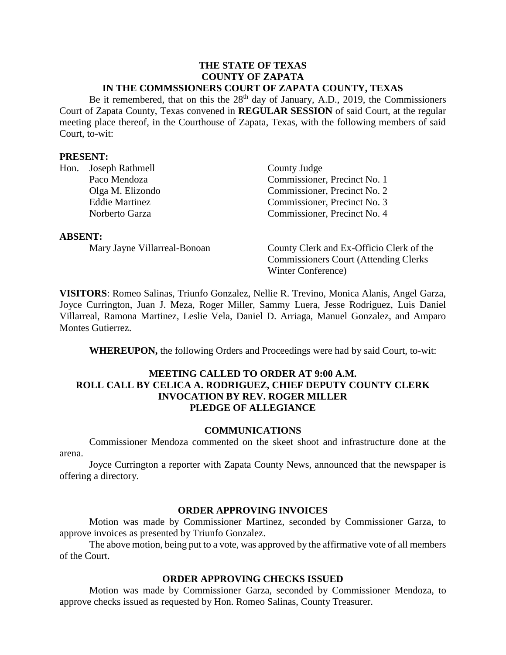#### **THE STATE OF TEXAS COUNTY OF ZAPATA IN THE COMMSSIONERS COURT OF ZAPATA COUNTY, TEXAS**

Be it remembered, that on this the  $28<sup>th</sup>$  day of January, A.D., 2019, the Commissioners Court of Zapata County, Texas convened in **REGULAR SESSION** of said Court, at the regular meeting place thereof, in the Courthouse of Zapata, Texas, with the following members of said Court, to-wit:

#### **PRESENT:**

|  | Hon. Joseph Rathmell  | County Judge                 |
|--|-----------------------|------------------------------|
|  | Paco Mendoza          | Commissioner, Precinct No. 1 |
|  | Olga M. Elizondo      | Commissioner, Precinct No. 2 |
|  | <b>Eddie Martinez</b> | Commissioner, Precinct No. 3 |
|  | Norberto Garza        | Commissioner, Precinct No. 4 |
|  |                       |                              |
|  |                       |                              |

#### **ABSENT:**

Mary Jayne Villarreal-Bonoan County Clerk and Ex-Officio Clerk of the Commissioners Court (Attending Clerks Winter Conference)

**VISITORS**: Romeo Salinas, Triunfo Gonzalez, Nellie R. Trevino, Monica Alanis, Angel Garza, Joyce Currington, Juan J. Meza, Roger Miller, Sammy Luera, Jesse Rodriguez, Luis Daniel Villarreal, Ramona Martinez, Leslie Vela, Daniel D. Arriaga, Manuel Gonzalez, and Amparo Montes Gutierrez.

**WHEREUPON,** the following Orders and Proceedings were had by said Court, to-wit:

### **MEETING CALLED TO ORDER AT 9:00 A.M. ROLL CALL BY CELICA A. RODRIGUEZ, CHIEF DEPUTY COUNTY CLERK INVOCATION BY REV. ROGER MILLER PLEDGE OF ALLEGIANCE**

### **COMMUNICATIONS**

Commissioner Mendoza commented on the skeet shoot and infrastructure done at the arena.

Joyce Currington a reporter with Zapata County News, announced that the newspaper is offering a directory.

### **ORDER APPROVING INVOICES**

Motion was made by Commissioner Martinez, seconded by Commissioner Garza, to approve invoices as presented by Triunfo Gonzalez.

The above motion, being put to a vote, was approved by the affirmative vote of all members of the Court.

### **ORDER APPROVING CHECKS ISSUED**

Motion was made by Commissioner Garza, seconded by Commissioner Mendoza, to approve checks issued as requested by Hon. Romeo Salinas, County Treasurer.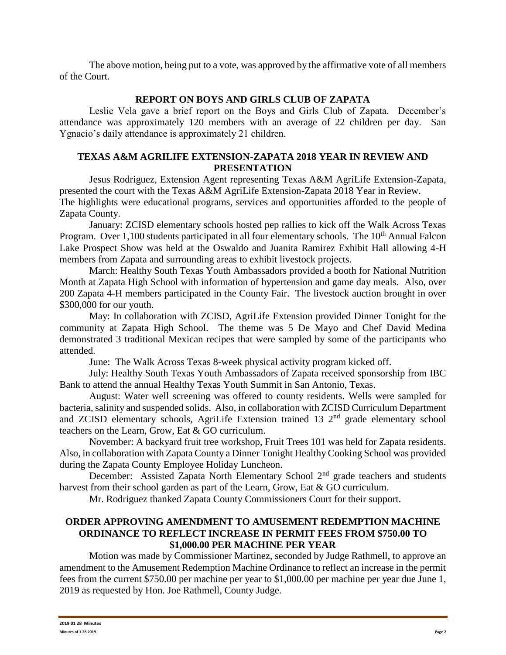The above motion, being put to a vote, was approved by the affirmative vote of all members of the Court.

## **REPORT ON BOYS AND GIRLS CLUB OF ZAPATA**

Leslie Vela gave a brief report on the Boys and Girls Club of Zapata. December's attendance was approximately 120 members with an average of 22 children per day. San Ygnacio's daily attendance is approximately 21 children.

## **TEXAS A&M AGRILIFE EXTENSION-ZAPATA 2018 YEAR IN REVIEW AND PRESENTATION**

Jesus Rodriguez, Extension Agent representing Texas A&M AgriLife Extension-Zapata, presented the court with the Texas A&M AgriLife Extension-Zapata 2018 Year in Review.

The highlights were educational programs, services and opportunities afforded to the people of Zapata County.

January: ZCISD elementary schools hosted pep rallies to kick off the Walk Across Texas Program. Over 1,100 students participated in all four elementary schools. The  $10<sup>th</sup>$  Annual Falcon Lake Prospect Show was held at the Oswaldo and Juanita Ramirez Exhibit Hall allowing 4-H members from Zapata and surrounding areas to exhibit livestock projects.

March: Healthy South Texas Youth Ambassadors provided a booth for National Nutrition Month at Zapata High School with information of hypertension and game day meals. Also, over 200 Zapata 4-H members participated in the County Fair. The livestock auction brought in over \$300,000 for our youth.

May: In collaboration with ZCISD, AgriLife Extension provided Dinner Tonight for the community at Zapata High School. The theme was 5 De Mayo and Chef David Medina demonstrated 3 traditional Mexican recipes that were sampled by some of the participants who attended.

June: The Walk Across Texas 8-week physical activity program kicked off.

July: Healthy South Texas Youth Ambassadors of Zapata received sponsorship from IBC Bank to attend the annual Healthy Texas Youth Summit in San Antonio, Texas.

August: Water well screening was offered to county residents. Wells were sampled for bacteria, salinity and suspended solids. Also, in collaboration with ZCISD Curriculum Department and ZCISD elementary schools, AgriLife Extension trained  $13 \, 2^{nd}$  grade elementary school teachers on the Learn, Grow, Eat & GO curriculum.

November: A backyard fruit tree workshop, Fruit Trees 101 was held for Zapata residents. Also, in collaboration with Zapata County a Dinner Tonight Healthy Cooking School was provided during the Zapata County Employee Holiday Luncheon.

December: Assisted Zapata North Elementary School 2<sup>nd</sup> grade teachers and students harvest from their school garden as part of the Learn, Grow, Eat & GO curriculum.

Mr. Rodriguez thanked Zapata County Commissioners Court for their support.

## **ORDER APPROVING AMENDMENT TO AMUSEMENT REDEMPTION MACHINE ORDINANCE TO REFLECT INCREASE IN PERMIT FEES FROM \$750.00 TO \$1,000.00 PER MACHINE PER YEAR**

Motion was made by Commissioner Martinez, seconded by Judge Rathmell, to approve an amendment to the Amusement Redemption Machine Ordinance to reflect an increase in the permit fees from the current \$750.00 per machine per year to \$1,000.00 per machine per year due June 1, 2019 as requested by Hon. Joe Rathmell, County Judge.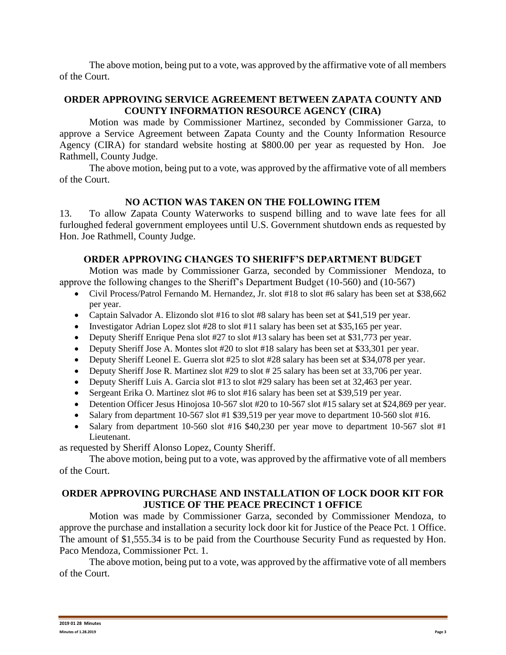The above motion, being put to a vote, was approved by the affirmative vote of all members of the Court.

# **ORDER APPROVING SERVICE AGREEMENT BETWEEN ZAPATA COUNTY AND COUNTY INFORMATION RESOURCE AGENCY (CIRA)**

Motion was made by Commissioner Martinez, seconded by Commissioner Garza, to approve a Service Agreement between Zapata County and the County Information Resource Agency (CIRA) for standard website hosting at \$800.00 per year as requested by Hon. Joe Rathmell, County Judge.

The above motion, being put to a vote, was approved by the affirmative vote of all members of the Court.

# **NO ACTION WAS TAKEN ON THE FOLLOWING ITEM**

13. To allow Zapata County Waterworks to suspend billing and to wave late fees for all furloughed federal government employees until U.S. Government shutdown ends as requested by Hon. Joe Rathmell, County Judge.

## **ORDER APPROVING CHANGES TO SHERIFF'S DEPARTMENT BUDGET**

Motion was made by Commissioner Garza, seconded by Commissioner Mendoza, to approve the following changes to the Sheriff's Department Budget (10-560) and (10-567)

- Civil Process/Patrol Fernando M. Hernandez, Jr. slot #18 to slot #6 salary has been set at \$38,662 per year.
- Captain Salvador A. Elizondo slot #16 to slot #8 salary has been set at \$41,519 per year.
- Investigator Adrian Lopez slot #28 to slot #11 salary has been set at \$35,165 per year.
- Deputy Sheriff Enrique Pena slot #27 to slot #13 salary has been set at \$31,773 per year.
- Deputy Sheriff Jose A. Montes slot #20 to slot #18 salary has been set at \$33,301 per year.
- Deputy Sheriff Leonel E. Guerra slot #25 to slot #28 salary has been set at \$34,078 per year.
- Deputy Sheriff Jose R. Martinez slot #29 to slot #25 salary has been set at 33,706 per year.
- Deputy Sheriff Luis A. Garcia slot #13 to slot #29 salary has been set at 32,463 per year.
- Sergeant Erika O. Martinez slot #6 to slot #16 salary has been set at \$39,519 per year.
- Detention Officer Jesus Hinojosa 10-567 slot #20 to 10-567 slot #15 salary set at \$24,869 per year.
- Salary from department 10-567 slot #1 \$39,519 per year move to department 10-560 slot #16.
- Salary from department 10-560 slot #16 \$40,230 per year move to department 10-567 slot #1 Lieutenant.

as requested by Sheriff Alonso Lopez, County Sheriff.

The above motion, being put to a vote, was approved by the affirmative vote of all members of the Court.

# **ORDER APPROVING PURCHASE AND INSTALLATION OF LOCK DOOR KIT FOR JUSTICE OF THE PEACE PRECINCT 1 OFFICE**

Motion was made by Commissioner Garza, seconded by Commissioner Mendoza, to approve the purchase and installation a security lock door kit for Justice of the Peace Pct. 1 Office. The amount of \$1,555.34 is to be paid from the Courthouse Security Fund as requested by Hon. Paco Mendoza, Commissioner Pct. 1.

The above motion, being put to a vote, was approved by the affirmative vote of all members of the Court.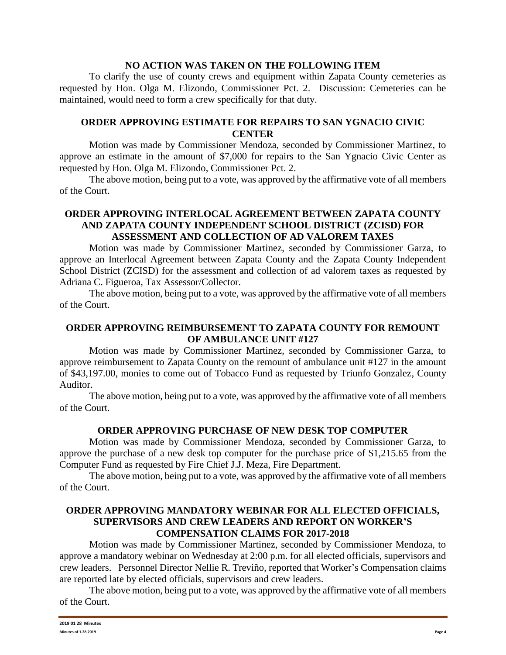#### **NO ACTION WAS TAKEN ON THE FOLLOWING ITEM**

To clarify the use of county crews and equipment within Zapata County cemeteries as requested by Hon. Olga M. Elizondo, Commissioner Pct. 2. Discussion: Cemeteries can be maintained, would need to form a crew specifically for that duty.

## **ORDER APPROVING ESTIMATE FOR REPAIRS TO SAN YGNACIO CIVIC CENTER**

Motion was made by Commissioner Mendoza, seconded by Commissioner Martinez, to approve an estimate in the amount of \$7,000 for repairs to the San Ygnacio Civic Center as requested by Hon. Olga M. Elizondo, Commissioner Pct. 2.

The above motion, being put to a vote, was approved by the affirmative vote of all members of the Court.

# **ORDER APPROVING INTERLOCAL AGREEMENT BETWEEN ZAPATA COUNTY AND ZAPATA COUNTY INDEPENDENT SCHOOL DISTRICT (ZCISD) FOR ASSESSMENT AND COLLECTION OF AD VALOREM TAXES**

Motion was made by Commissioner Martinez, seconded by Commissioner Garza, to approve an Interlocal Agreement between Zapata County and the Zapata County Independent School District (ZCISD) for the assessment and collection of ad valorem taxes as requested by Adriana C. Figueroa, Tax Assessor/Collector.

The above motion, being put to a vote, was approved by the affirmative vote of all members of the Court.

# **ORDER APPROVING REIMBURSEMENT TO ZAPATA COUNTY FOR REMOUNT OF AMBULANCE UNIT #127**

Motion was made by Commissioner Martinez, seconded by Commissioner Garza, to approve reimbursement to Zapata County on the remount of ambulance unit #127 in the amount of \$43,197.00, monies to come out of Tobacco Fund as requested by Triunfo Gonzalez, County Auditor.

The above motion, being put to a vote, was approved by the affirmative vote of all members of the Court.

# **ORDER APPROVING PURCHASE OF NEW DESK TOP COMPUTER**

Motion was made by Commissioner Mendoza, seconded by Commissioner Garza, to approve the purchase of a new desk top computer for the purchase price of \$1,215.65 from the Computer Fund as requested by Fire Chief J.J. Meza, Fire Department.

The above motion, being put to a vote, was approved by the affirmative vote of all members of the Court.

## **ORDER APPROVING MANDATORY WEBINAR FOR ALL ELECTED OFFICIALS, SUPERVISORS AND CREW LEADERS AND REPORT ON WORKER'S COMPENSATION CLAIMS FOR 2017-2018**

Motion was made by Commissioner Martinez, seconded by Commissioner Mendoza, to approve a mandatory webinar on Wednesday at 2:00 p.m. for all elected officials, supervisors and crew leaders. Personnel Director Nellie R. Treviño, reported that Worker's Compensation claims are reported late by elected officials, supervisors and crew leaders.

The above motion, being put to a vote, was approved by the affirmative vote of all members of the Court.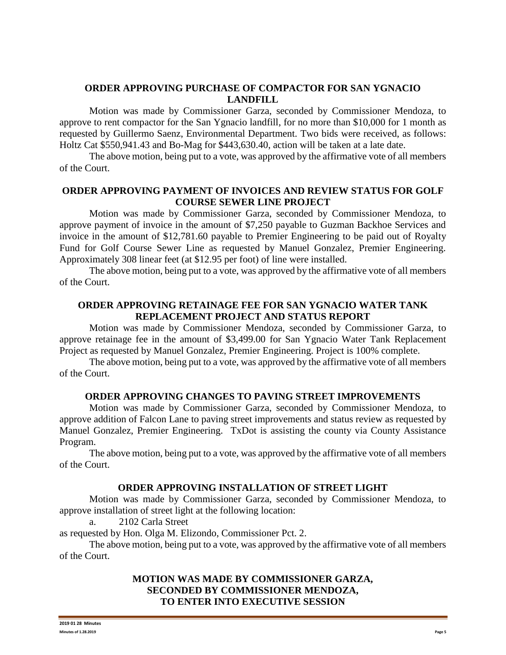## **ORDER APPROVING PURCHASE OF COMPACTOR FOR SAN YGNACIO LANDFILL**

Motion was made by Commissioner Garza, seconded by Commissioner Mendoza, to approve to rent compactor for the San Ygnacio landfill, for no more than \$10,000 for 1 month as requested by Guillermo Saenz, Environmental Department. Two bids were received, as follows: Holtz Cat \$550,941.43 and Bo-Mag for \$443,630.40, action will be taken at a late date.

The above motion, being put to a vote, was approved by the affirmative vote of all members of the Court.

### **ORDER APPROVING PAYMENT OF INVOICES AND REVIEW STATUS FOR GOLF COURSE SEWER LINE PROJECT**

Motion was made by Commissioner Garza, seconded by Commissioner Mendoza, to approve payment of invoice in the amount of \$7,250 payable to Guzman Backhoe Services and invoice in the amount of \$12,781.60 payable to Premier Engineering to be paid out of Royalty Fund for Golf Course Sewer Line as requested by Manuel Gonzalez, Premier Engineering. Approximately 308 linear feet (at \$12.95 per foot) of line were installed.

The above motion, being put to a vote, was approved by the affirmative vote of all members of the Court.

# **ORDER APPROVING RETAINAGE FEE FOR SAN YGNACIO WATER TANK REPLACEMENT PROJECT AND STATUS REPORT**

Motion was made by Commissioner Mendoza, seconded by Commissioner Garza, to approve retainage fee in the amount of \$3,499.00 for San Ygnacio Water Tank Replacement Project as requested by Manuel Gonzalez, Premier Engineering. Project is 100% complete.

The above motion, being put to a vote, was approved by the affirmative vote of all members of the Court.

### **ORDER APPROVING CHANGES TO PAVING STREET IMPROVEMENTS**

Motion was made by Commissioner Garza, seconded by Commissioner Mendoza, to approve addition of Falcon Lane to paving street improvements and status review as requested by Manuel Gonzalez, Premier Engineering. TxDot is assisting the county via County Assistance Program.

The above motion, being put to a vote, was approved by the affirmative vote of all members of the Court.

### **ORDER APPROVING INSTALLATION OF STREET LIGHT**

Motion was made by Commissioner Garza, seconded by Commissioner Mendoza, to approve installation of street light at the following location:

a. 2102 Carla Street

as requested by Hon. Olga M. Elizondo, Commissioner Pct. 2.

The above motion, being put to a vote, was approved by the affirmative vote of all members of the Court.

# **MOTION WAS MADE BY COMMISSIONER GARZA, SECONDED BY COMMISSIONER MENDOZA, TO ENTER INTO EXECUTIVE SESSION**